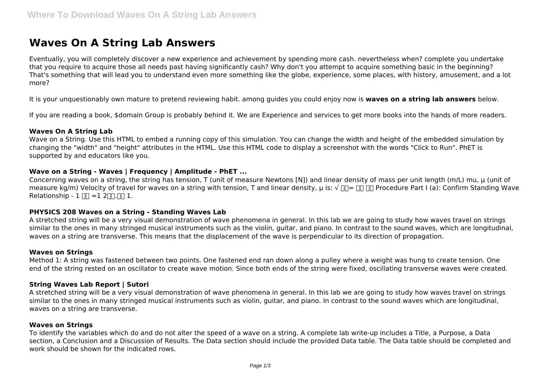# **Waves On A String Lab Answers**

Eventually, you will completely discover a new experience and achievement by spending more cash. nevertheless when? complete you undertake that you require to acquire those all needs past having significantly cash? Why don't you attempt to acquire something basic in the beginning? That's something that will lead you to understand even more something like the globe, experience, some places, with history, amusement, and a lot more?

It is your unquestionably own mature to pretend reviewing habit. among guides you could enjoy now is **waves on a string lab answers** below.

If you are reading a book, \$domain Group is probably behind it. We are Experience and services to get more books into the hands of more readers.

#### **Waves On A String Lab**

Wave on a String. Use this HTML to embed a running copy of this simulation. You can change the width and height of the embedded simulation by changing the "width" and "height" attributes in the HTML. Use this HTML code to display a screenshot with the words "Click to Run". PhET is supported by and educators like you.

## **Wave on a String - Waves | Frequency | Amplitude - PhET ...**

Concerning waves on a string, the string has tension, T (unit of measure Newtons [N]) and linear density of mass per unit length (m/L) mu, μ (unit of measure kg/m) Velocity of travel for waves on a string with tension, T and linear density, μ is: √ ΠΠ = ΠΠ ΠΠ Procedure Part I (a): Confirm Standing Wave Relationship -  $1 \Pi = 1 2 \Pi \Pi \Pi$  1.

#### **PHYSICS 208 Waves on a String - Standing Waves Lab**

A stretched string will be a very visual demonstration of wave phenomena in general. In this lab we are going to study how waves travel on strings similar to the ones in many stringed musical instruments such as the violin, guitar, and piano. In contrast to the sound waves, which are longitudinal, waves on a string are transverse. This means that the displacement of the wave is perpendicular to its direction of propagation.

#### **Waves on Strings**

Method 1: A string was fastened between two points. One fastened end ran down along a pulley where a weight was hung to create tension. One end of the string rested on an oscillator to create wave motion. Since both ends of the string were fixed, oscillating transverse waves were created.

#### **String Waves Lab Report | Sutori**

A stretched string will be a very visual demonstration of wave phenomena in general. In this lab we are going to study how waves travel on strings similar to the ones in many stringed musical instruments such as violin, guitar, and piano. In contrast to the sound waves which are longitudinal, waves on a string are transverse.

#### **Waves on Strings**

To identify the variables which do and do not alter the speed of a wave on a string. A complete lab write-up includes a Title, a Purpose, a Data section, a Conclusion and a Discussion of Results. The Data section should include the provided Data table. The Data table should be completed and work should be shown for the indicated rows.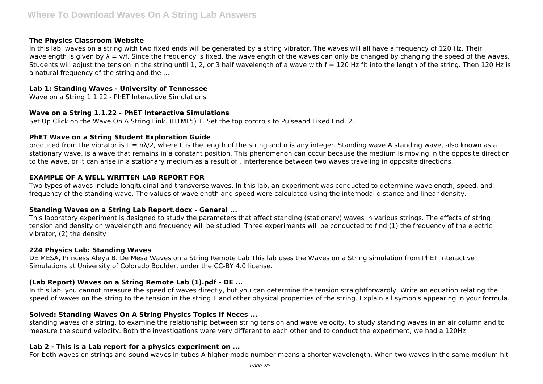## **The Physics Classroom Website**

In this lab, waves on a string with two fixed ends will be generated by a string vibrator. The waves will all have a frequency of 120 Hz. Their wavelength is given by  $\lambda = v/f$ . Since the frequency is fixed, the wavelength of the waves can only be changed by changing the speed of the waves. Students will adjust the tension in the string until 1, 2, or 3 half wavelength of a wave with  $f = 120$  Hz fit into the length of the string. Then 120 Hz is a natural frequency of the string and the ...

#### **Lab 1: Standing Waves - University of Tennessee**

Wave on a String 1.1.22 - PhET Interactive Simulations

## **Wave on a String 1.1.22 - PhET Interactive Simulations**

Set Up Click on the Wave On A String Link. (HTML5) 1. Set the top controls to Pulseand Fixed End. 2.

## **PhET Wave on a String Student Exploration Guide**

produced from the vibrator is  $L = n\lambda/2$ , where L is the length of the string and n is any integer. Standing wave A standing wave, also known as a stationary wave, is a wave that remains in a constant position. This phenomenon can occur because the medium is moving in the opposite direction to the wave, or it can arise in a stationary medium as a result of . interference between two waves traveling in opposite directions.

# **EXAMPLE OF A WELL WRITTEN LAB REPORT FOR**

Two types of waves include longitudinal and transverse waves. In this lab, an experiment was conducted to determine wavelength, speed, and frequency of the standing wave. The values of wavelength and speed were calculated using the internodal distance and linear density.

# **Standing Waves on a String Lab Report.docx - General ...**

This laboratory experiment is designed to study the parameters that affect standing (stationary) waves in various strings. The effects of string tension and density on wavelength and frequency will be studied. Three experiments will be conducted to find (1) the frequency of the electric vibrator, (2) the density

#### **224 Physics Lab: Standing Waves**

DE MESA, Princess Aleya B. De Mesa Waves on a String Remote Lab This lab uses the Waves on a String simulation from PhET Interactive Simulations at University of Colorado Boulder, under the CC-BY 4.0 license.

# **(Lab Report) Waves on a String Remote Lab (1).pdf - DE ...**

In this lab, you cannot measure the speed of waves directly, but you can determine the tension straightforwardly. Write an equation relating the speed of waves on the string to the tension in the string T and other physical properties of the string. Explain all symbols appearing in your formula.

# **Solved: Standing Waves On A String Physics Topics If Neces ...**

standing waves of a string, to examine the relationship between string tension and wave velocity, to study standing waves in an air column and to measure the sound velocity. Both the investigations were very different to each other and to conduct the experiment, we had a 120Hz

#### **Lab 2 - This is a Lab report for a physics experiment on ...**

For both waves on strings and sound waves in tubes A higher mode number means a shorter wavelength. When two waves in the same medium hit